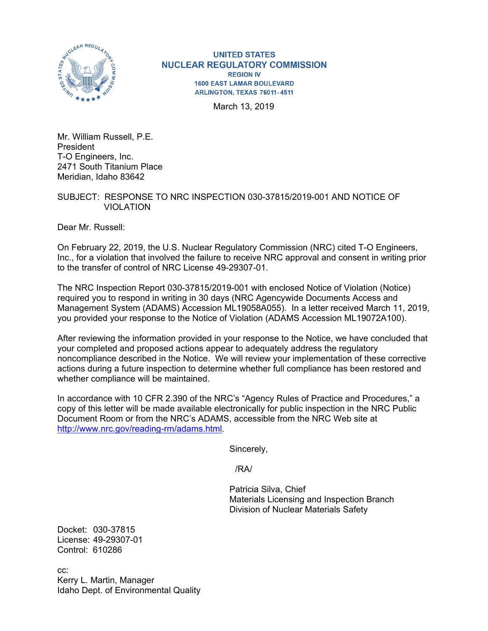

**UNITED STATES NUCLEAR REGULATORY COMMISSION REGION IV 1600 EAST LAMAR BOULEVARD** ARLINGTON, TEXAS 76011-4511

March 13, 2019

Mr. William Russell, P.E. President T-O Engineers, Inc. 2471 South Titanium Place Meridian, Idaho 83642

## SUBJECT: RESPONSE TO NRC INSPECTION 030-37815/2019-001 AND NOTICE OF VIOLATION

Dear Mr. Russell:

On February 22, 2019, the U.S. Nuclear Regulatory Commission (NRC) cited T-O Engineers, Inc., for a violation that involved the failure to receive NRC approval and consent in writing prior to the transfer of control of NRC License 49-29307-01.

The NRC Inspection Report 030-37815/2019-001 with enclosed Notice of Violation (Notice) required you to respond in writing in 30 days (NRC Agencywide Documents Access and Management System (ADAMS) Accession ML19058A055). In a letter received March 11, 2019, you provided your response to the Notice of Violation (ADAMS Accession ML19072A100).

After reviewing the information provided in your response to the Notice, we have concluded that your completed and proposed actions appear to adequately address the regulatory noncompliance described in the Notice. We will review your implementation of these corrective actions during a future inspection to determine whether full compliance has been restored and whether compliance will be maintained.

In accordance with 10 CFR 2.390 of the NRC's "Agency Rules of Practice and Procedures," a copy of this letter will be made available electronically for public inspection in the NRC Public Document Room or from the NRC's ADAMS, accessible from the NRC Web site at http://www.nrc.gov/reading-rm/adams.html.

Sincerely,

/RA/

 Patricia Silva, Chief Materials Licensing and Inspection Branch Division of Nuclear Materials Safety

Docket: 030-37815 License: 49-29307-01 Control: 610286

cc: Kerry L. Martin, Manager Idaho Dept. of Environmental Quality